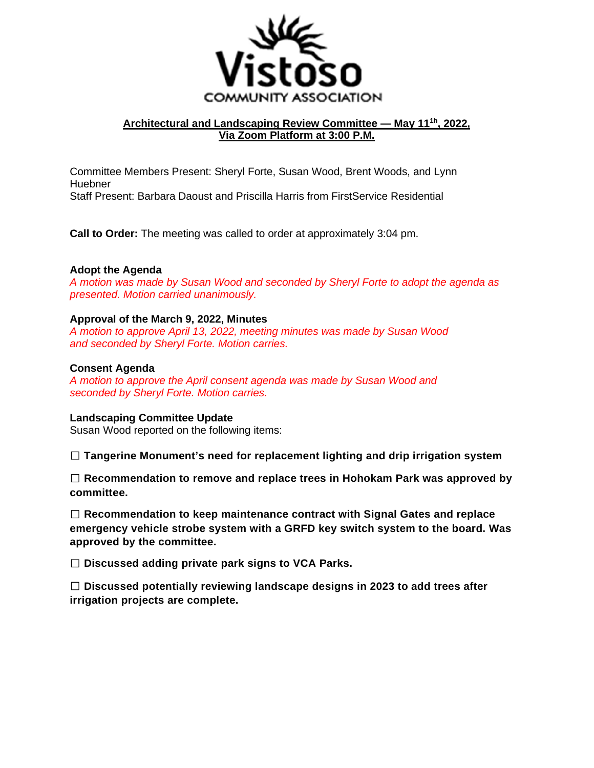

# **Architectural and Landscaping Review Committee — May 111h, 2022, Via Zoom Platform at 3:00 P.M.**

Committee Members Present: Sheryl Forte, Susan Wood, Brent Woods, and Lynn Huebner Staff Present: Barbara Daoust and Priscilla Harris from FirstService Residential

**Call to Order:** The meeting was called to order at approximately 3:04 pm.

### **Adopt the Agenda**

*A motion was made by Susan Wood and seconded by Sheryl Forte to adopt the agenda as presented. Motion carried unanimously.* 

#### **Approval of the March 9, 2022, Minutes**

*A motion to approve April 13, 2022, meeting minutes was made by Susan Wood and seconded by Sheryl Forte. Motion carries.* 

#### **Consent Agenda**

*A motion to approve the April consent agenda was made by Susan Wood and seconded by Sheryl Forte. Motion carries.* 

#### **Landscaping Committee Update**

Susan Wood reported on the following items:

 **Tangerine Monument's need for replacement lighting and drip irrigation system** 

 **Recommendation to remove and replace trees in Hohokam Park was approved by committee.** 

 **Recommendation to keep maintenance contract with Signal Gates and replace emergency vehicle strobe system with a GRFD key switch system to the board. Was approved by the committee.** 

 **Discussed adding private park signs to VCA Parks.** 

 **Discussed potentially reviewing landscape designs in 2023 to add trees after irrigation projects are complete.**